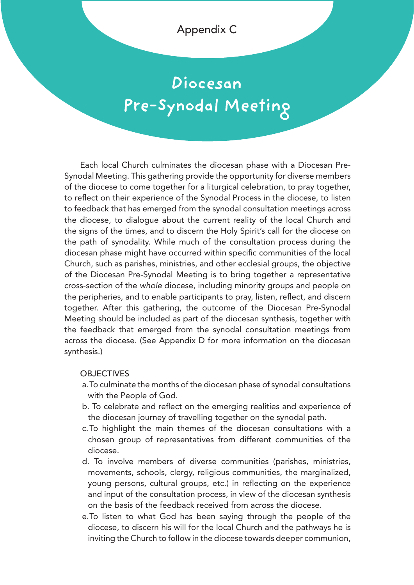Appendix C

# **Diocesan Pre-Synodal Meeting**

Each local Church culminates the diocesan phase with a Diocesan Pre-Synodal Meeting. This gathering provide the opportunity for diverse members of the diocese to come together for a liturgical celebration, to pray together, to reflect on their experience of the Synodal Process in the diocese, to listen to feedback that has emerged from the synodal consultation meetings across the diocese, to dialogue about the current reality of the local Church and the signs of the times, and to discern the Holy Spirit's call for the diocese on the path of synodality. While much of the consultation process during the diocesan phase might have occurred within specific communities of the local Church, such as parishes, ministries, and other ecclesial groups, the objective of the Diocesan Pre-Synodal Meeting is to bring together a representative cross-section of the *whole* diocese, including minority groups and people on the peripheries, and to enable participants to pray, listen, reflect, and discern together. After this gathering, the outcome of the Diocesan Pre-Synodal Meeting should be included as part of the diocesan synthesis, together with the feedback that emerged from the synodal consultation meetings from across the diocese. (See Appendix D for more information on the diocesan synthesis.)

### **OBJECTIVES**

- a.To culminate the months of the diocesan phase of synodal consultations with the People of God.
- b. To celebrate and reflect on the emerging realities and experience of the diocesan journey of travelling together on the synodal path.
- c.To highlight the main themes of the diocesan consultations with a chosen group of representatives from different communities of the diocese.
- d. To involve members of diverse communities (parishes, ministries, movements, schools, clergy, religious communities, the marginalized, young persons, cultural groups, etc.) in reflecting on the experience and input of the consultation process, in view of the diocesan synthesis on the basis of the feedback received from across the diocese.
- e.To listen to what God has been saying through the people of the diocese, to discern his will for the local Church and the pathways he is inviting the Church to follow in the diocese towards deeper communion,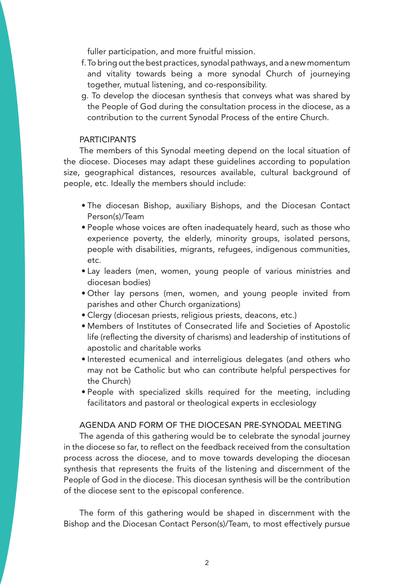fuller participation, and more fruitful mission.

- f.To bring out the best practices, synodal pathways, and a new momentum and vitality towards being a more synodal Church of journeying together, mutual listening, and co-responsibility.
- g. To develop the diocesan synthesis that conveys what was shared by the People of God during the consultation process in the diocese, as a contribution to the current Synodal Process of the entire Church.

#### **PARTICIPANTS**

The members of this Synodal meeting depend on the local situation of the diocese. Dioceses may adapt these guidelines according to population size, geographical distances, resources available, cultural background of people, etc. Ideally the members should include:

- The diocesan Bishop, auxiliary Bishops, and the Diocesan Contact Person(s)/Team
- People whose voices are often inadequately heard, such as those who experience poverty, the elderly, minority groups, isolated persons, people with disabilities, migrants, refugees, indigenous communities, etc.
- Lay leaders (men, women, young people of various ministries and diocesan bodies)
- Other lay persons (men, women, and young people invited from parishes and other Church organizations)
- Clergy (diocesan priests, religious priests, deacons, etc.)
- Members of Institutes of Consecrated life and Societies of Apostolic life (reflecting the diversity of charisms) and leadership of institutions of apostolic and charitable works
- Interested ecumenical and interreligious delegates (and others who may not be Catholic but who can contribute helpful perspectives for the Church)
- People with specialized skills required for the meeting, including facilitators and pastoral or theological experts in ecclesiology

#### AGENDA AND FORM OF THE DIOCESAN PRE-SYNODAL MEETING

The agenda of this gathering would be to celebrate the synodal journey in the diocese so far, to reflect on the feedback received from the consultation process across the diocese, and to move towards developing the diocesan synthesis that represents the fruits of the listening and discernment of the People of God in the diocese. This diocesan synthesis will be the contribution of the diocese sent to the episcopal conference.

The form of this gathering would be shaped in discernment with the Bishop and the Diocesan Contact Person(s)/Team, to most effectively pursue